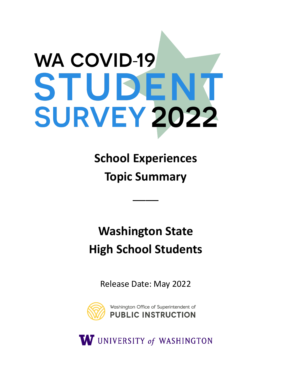# **WA COVID-19** STUDEN **SURVEY 2022**

**School Experiences Topic Summary** 

\_\_\_\_

**Washington State High School Students** 

Release Date: May 2022



W UNIVERSITY of WASHINGTON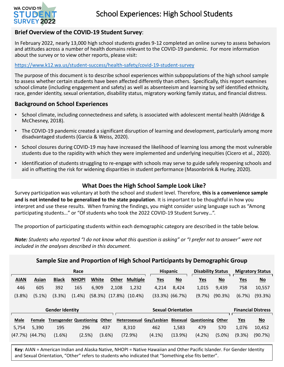

## **Brief Overview of the COVID-19 Student Survey**:

In February 2022, nearly 13,000 high school students grades 9-12 completed an online survey to assess behaviors and attitudes across a number of health domains relevant to the COVID-19 pandemic. For more information about the survey or to view other reports, please visit:

#### <https://www.k12.wa.us/student-success/health-safety/covid-19-student-survey>

The purpose of this document is to describe school experiences within subpopulations of the high school sample to assess whether certain students have been affected differently than others. Specifically, this report examines school climate (including engagement and safety) as well as absenteeism and learning by self identified ethnicity, race, gender identity, sexual orientation, disability status, migratory working family status, and financial distress.

## **Background on School Experiences**

- School climate, including connectedness and safety, is associated with adolescent mental health (Aldridge & McChesney, 2018).
- The COVID-19 pandemic created a significant disruption of learning and development, particularly among more disadvantaged students (Garcia & Weiss, 2020).
- School closures during COVID-19 may have increased the likelihood of learning loss among the most vulnerable students due to the rapidity with which they were implemented and underlying inequities (Cicero et al., 2020).
- Identification of students struggling to re-engage with schools may serve to guide safely reopening schools and aid in offsetting the risk for widening disparities in student performance (Masonbrink & Hurley, 2020).

## **What Does the High School Sample Look Like?**

Survey participation was voluntary at both the school and student level. Therefore, **this is a convenience sample and is not intended to be generalized to the state population**. It is important to be thoughtful in how you interpret and use these results. When framing the findings, you might consider using language such as "Among participating students…" or "Of students who took the 2022 COVID-19 Student Survey…".

The proportion of participating students within each demographic category are described in the table below.

*Note: Students who reported "I do not know what this question is asking" or "I prefer not to answer" were not included in the analyses described in this document.* 

| Sample Size and Proportion of High School Participants by Demographic Group |           |              |                                |           |                          |                          |                           |             |                           |            |                           |  |
|-----------------------------------------------------------------------------|-----------|--------------|--------------------------------|-----------|--------------------------|--------------------------|---------------------------|-------------|---------------------------|------------|---------------------------|--|
| Race                                                                        |           |              |                                |           |                          |                          | <b>Hispanic</b>           |             | <b>Disability Status</b>  |            | <b>Migratory Status</b>   |  |
| <b>AIAN</b>                                                                 | Asian     | <b>Black</b> | White<br><b>NHOPI</b>          |           | Other<br><b>Multiple</b> | <u>Yes</u>               | $\underline{\mathsf{No}}$ | <u>Yes</u>  | $\underline{\mathsf{No}}$ | <u>Yes</u> | $\underline{\mathsf{No}}$ |  |
| 446                                                                         | 605       | 392          | 165<br>6,909                   |           | 2,108<br>1,232           | 4,214                    | 8,424                     | 1,015       | 9,439                     | 758        | 10,557                    |  |
| (3.8%)                                                                      | $(5.1\%)$ | (3.3%)       | $(1.4\%)$<br>(58.3%)           |           | (17.8%)<br>$(10.4\%)$    |                          | $(33.3\%)$ $(66.7\%)$     | (9.7%)      | (90.3%)                   | (6.7%)     | (93.3%)                   |  |
| <b>Gender Identity</b>                                                      |           |              |                                |           |                          |                          | <b>Sexual Orientation</b> |             |                           |            | <b>Financial Distress</b> |  |
| <b>Male</b>                                                                 | Female    |              | <b>Transgender Questioning</b> | Other     |                          | Heterosexual Gay/Lesbian | <b>Bisexual</b>           | Questioning | Other                     | <b>Yes</b> | $\underline{\mathsf{No}}$ |  |
| 5,754                                                                       | 5,390     | 195          | 296                            | 437       | 8.310                    | 462                      | 1,583                     | 479         | 570                       | 1,076      | 10,452                    |  |
| (47.7%)                                                                     | (44.7%)   | (1.6%)       | (2.5%)                         | $(3.6\%)$ | (72.9%)                  | $(4.1\%)$                | (13.9%)                   | (4.2%)      | $(5.0\%)$                 | (9.3%)     | (90.7%)                   |  |
|                                                                             |           |              |                                |           |                          |                          |                           |             |                           |            |                           |  |

**Key**: AIAN = American Indian and Alaska Native, NHOPI = Native Hawaiian and Other Pacific Islander. For Gender Identity and Sexual Orientation, "Other" refers to students who indicated that "Something else fits better".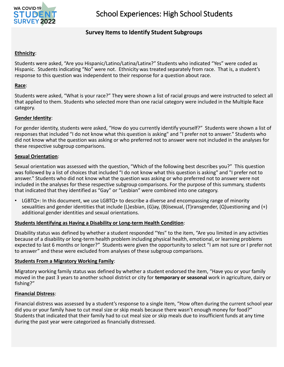

## **Survey Items to Identify Student Subgroups**

#### **Ethnicity**:

Students were asked, "Are you Hispanic/Latino/Latina/Latinx?" Students who indicated "Yes" were coded as Hispanic. Students indicating "No" were not. Ethnicity was treated separately from race. That is, a student's response to this question was independent to their response for a question about race.

#### **Race**:

Students were asked, "What is your race?" They were shown a list of racial groups and were instructed to select all that applied to them. Students who selected more than one racial category were included in the Multiple Race category.

#### **Gender Identity**:

For gender identity, students were asked, "How do you currently identify yourself?" Students were shown a list of responses that included "I do not know what this question is asking" and "I prefer not to answer." Students who did not know what the question was asking or who preferred not to answer were not included in the analyses for these respective subgroup comparisons.

#### **Sexual Orientation**:

Sexual orientation was assessed with the question, "Which of the following best describes you?" This question was followed by a list of choices that included "I do not know what this question is asking" and "I prefer not to answer." Students who did not know what the question was asking or who preferred not to answer were not included in the analyses for these respective subgroup comparisons. For the purpose of this summary, students that indicated that they identified as "Gay" or "Lesbian" were combined into one category.

LGBTQ+: In this document, we use LGBTQ+ to describe a diverse and encompassing range of minority sexualities and gender identities that include (L)esbian, (G)ay, (B)isexual, (T)ransgender, (Q)uestioning and (+) additional gender identities and sexual orientations.

#### **Students Identifying as Having a Disability or Long-term Health Condition**:

Disability status was defined by whether a student responded "Yes" to the item, "Are you limited in any activities because of a disability or long-term health problem including physical health, emotional, or learning problems expected to last 6 months or longer?" Students were given the opportunity to select "I am not sure or I prefer not to answer" and these were excluded from analyses of these subgroup comparisons.

#### **Students From a Migratory Working Family**:

Migratory working family status was defined by whether a student endorsed the item, "Have you or your family moved in the past 3 years to another school district or city for **temporary or seasonal** work in agriculture, dairy or fishing?"

#### **Financial Distress**:

Financial distress was assessed by a student's response to a single item, "How often during the current school year did you or your family have to cut meal size or skip meals because there wasn't enough money for food?" Students that indicated that their family had to cut meal size or skip meals due to insufficient funds at any time during the past year were categorized as financially distressed.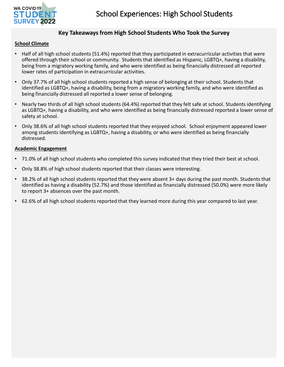

## **Key Takeaways from High School Students Who Took the Survey**

#### **School Climate**

- Half of all high school students (51.4%) reported that they participated in extracurricular activities that were offered through their school or community. Students that identified as Hispanic, LGBTQ+, having a disability, being from a migratory working family, and who were identified as being financially distressed all reported lower rates of participation in extracurricular activities.
- Only 37.7% of all high school students reported a high sense of belonging at their school. Students that identified as LGBTQ+, having a disability, being from a migratory working family, and who were identified as being financially distressed all reported a lower sense of belonging.
- Nearly two thirds of all high school students (64.4%) reported that they felt safe at school. Students identifying as LGBTQ+, having a disability, and who were identified as being financially distressed reported a lower sense of safety at school.
- Only 38.6% of all high school students reported that they enjoyed school. School enjoyment appeared lower among students identifying as LGBTQ+, having a disability, or who were identified as being financially distressed.

#### **Academic Engagement**

- 71.0% of all high school students who completed this survey indicated that they tried their best at school.
- Only 38.8% of high school students reported that their classes were interesting.
- 38.2% of all high school students reported that they were absent 3+ days during the past month. Students that identified as having a disability (52.7%) and those identified as financially distressed (50.0%) were more likely to report 3+ absences over the past month.
- 62.6% of all high school students reported that they learned more during this year compared to last year.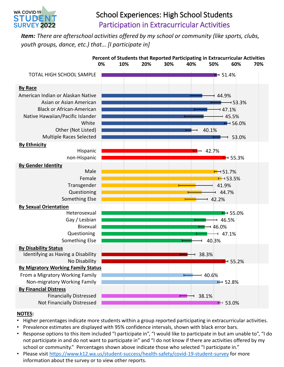

# School Experiences: High School Students Participation in Extracurricular Activities

*Item: There are afterschool activities offered by my school or community (like sports, clubs, youth groups, dance, etc.) that… [I participate in]* 



- Higher percentages indicate more students within a group reported participating in extracurricular activities.
- Prevalence estimates are displayed with 95% confidence intervals, shown with black error bars.
- Response options to this item included "I participate in", "I would like to participate in but am unable to", "I do not participate in and do not want to participate in" and "I do not know if there are activities offered by my school or community." Percentages shown above indicate those who selected "I participate in."
- Please visit <https://www.k12.wa.us/student-success/health-safety/covid-19-student-survey>for more information about the survey or to view other reports.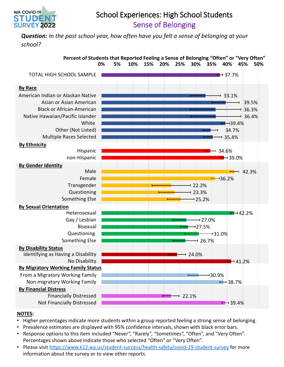

# School Experiences: High School Students Sense of Belonging

*Question: In the past school year, how often have you felt a sense of belonging at your school?* 



- Higher percentages indicate more students within a group reported feeling a strong sense of belonging.
- Prevalence estimates are displayed with 95% confidence intervals, shown with black error bars.
- Response options to this item included "Never", "Rarely", "Sometimes", "Often", and "Very Often". Percentages shown above indicate those who selected "Often" or "Very Often".
- Please visit <https://www.k12.wa.us/student-success/health-safety/covid-19-student-survey>for more information about the survey or to view other reports.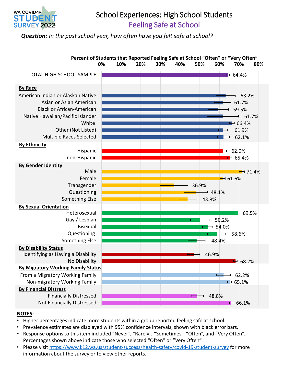

# School Experiences: High School Students Feeling Safe at School

*Question: In the past school year, how often have you felt safe at school?* 



- Higher percentages indicate more students within a group reported feeling safe at school.
- Prevalence estimates are displayed with 95% confidence intervals, shown with black error bars.
- Response options to this item included "Never", "Rarely", "Sometimes", "Often", and "Very Often". Percentages shown above indicate those who selected "Often" or "Very Often".
- Please visit <https://www.k12.wa.us/student-success/health-safety/covid-19-student-survey>for more information about the survey or to view other reports.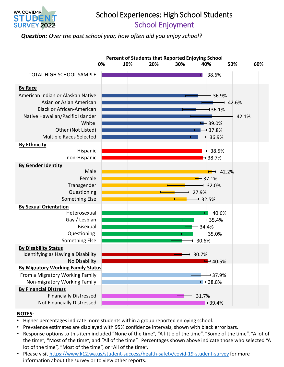

## School Experiences: High School Students School Enjoyment

*Question: Over the past school year, how often did you enjoy school?* 



- Higher percentages indicate more students within a group reported enjoying school.
- Prevalence estimates are displayed with 95% confidence intervals, shown with black error bars.
- Response options to this item included "None of the time", "A little of the time", "Some of the time", "A lot of the time", "Most of the time", and "All of the time". Percentages shown above indicate those who selected "A lot of the time", "Most of the time", or "All of the time".
- Please visit<https://www.k12.wa.us/student-success/health-safety/covid-19-student-survey>for more information about the survey or to view other reports.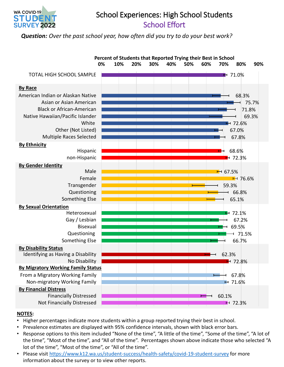

## School Experiences: High School Students School Effort

*Question: Over the past school year, how often did you try to do your best work?* 



- Higher percentages indicate more students within a group reported trying their best in school.
- Prevalence estimates are displayed with 95% confidence intervals, shown with black error bars.
- Response options to this item included "None of the time", "A little of the time", "Some of the time", "A lot of the time", "Most of the time", and "All of the time". Percentages shown above indicate those who selected "A lot of the time", "Most of the time", or "All of the time".
- Please visit <https://www.k12.wa.us/student-success/health-safety/covid-19-student-survey>for more information about the survey or to view other reports.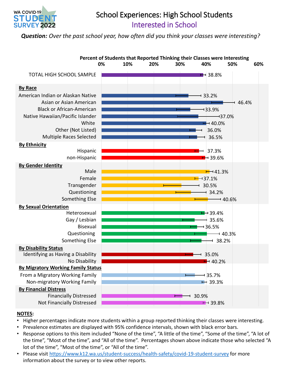

# School Experiences: High School Students Interested in School

*Question: Over the past school year, how often did you think your classes were interesting?* 



- Higher percentages indicate more students within a group reported thinking their classes were interesting.
- Prevalence estimates are displayed with 95% confidence intervals, shown with black error bars.
- Response options to this item included "None of the time", "A little of the time", "Some of the time", "A lot of the time", "Most of the time", and "All of the time". Percentages shown above indicate those who selected "A lot of the time", "Most of the time", or "All of the time".
- Please visit<https://www.k12.wa.us/student-success/health-safety/covid-19-student-survey>for more information about the survey or to view other reports.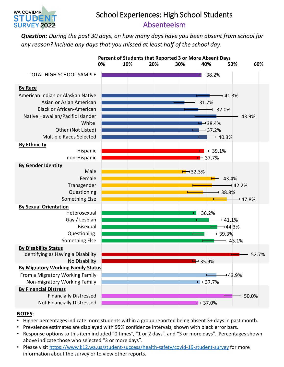

# School Experiences: High School Students Absenteeism

*Question: During the past 30 days, on how many days have you been absent from school for any reason? Include any days that you missed at least half of the school day.* 



- Higher percentages indicate more students within a group reported being absent 3+ days in past month.
- Prevalence estimates are displayed with 95% confidence intervals, shown with black error bars.
- Response options to this item included "0 times", "1 or 2 days", and "3 or more days". Percentages shown above indicate those who selected "3 or more days".
- Please visit <https://www.k12.wa.us/student-success/health-safety/covid-19-student-survey>for more information about the survey or to view other reports.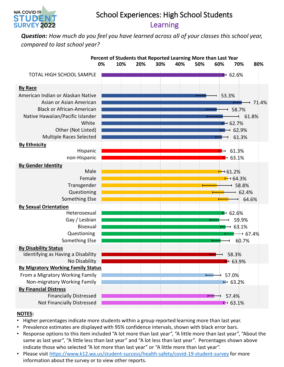

# School Experiences: High School Students Learning

*Question: How much do you feel you have learned across all of your classes this school year, compared to last school year?* 



- Higher percentages indicate more students within a group reported learning more than last year.
- Prevalence estimates are displayed with 95% confidence intervals, shown with black error bars.
- Response options to this item included "A lot more than last year", "A little more than last year", "About the same as last year", "A little less than last year" and "A lot less than last year". Percentages shown above indicate those who selected "A lot more than last year" or "A little more than last year".
- Please visit <https://www.k12.wa.us/student-success/health-safety/covid-19-student-survey>for more information about the survey or to view other reports.